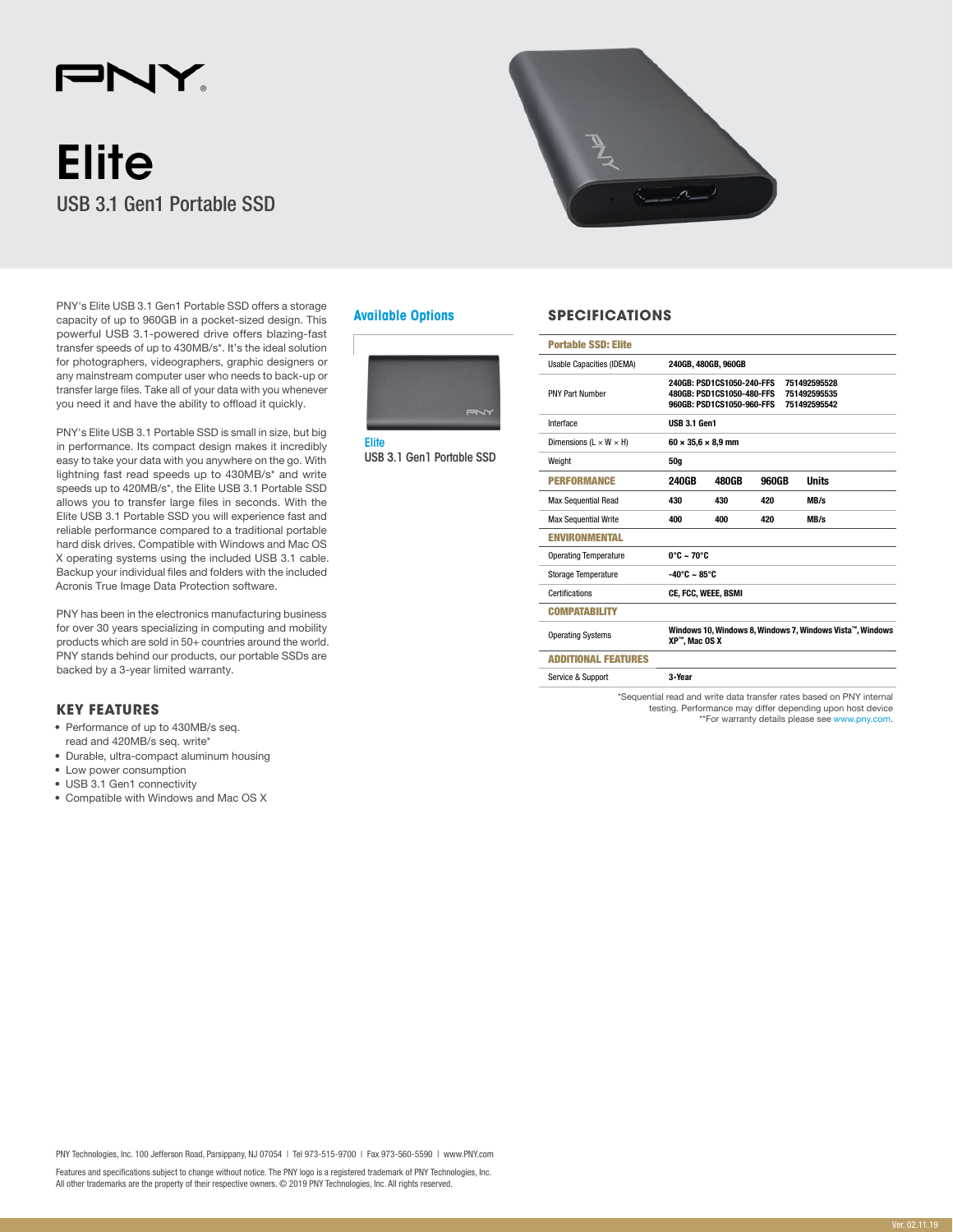## $\blacksquare$ N.

# **Elite** USB 3.1 Gen1 Portable SSD

PNY's Elite USB 3.1 Gen1 Portable SSD offers a storage capacity of up to 960GB in a pocket-sized design. This powerful USB 3.1-powered drive offers blazing-fast transfer speeds of up to 430MB/s\*. It's the ideal solution for photographers, videographers, graphic designers or any mainstream computer user who needs to back-up or transfer large files. Take all of your data with you whenever you need it and have the ability to offload it quickly.

PNY's Elite USB 3.1 Portable SSD is small in size, but big in performance. Its compact design makes it incredibly easy to take your data with you anywhere on the go. With lightning fast read speeds up to 430MB/s\* and write speeds up to 420MB/s\*, the Elite USB 3.1 Portable SSD allows you to transfer large files in seconds. With the Elite USB 3.1 Portable SSD you will experience fast and reliable performance compared to a traditional portable hard disk drives. Compatible with Windows and Mac OS X operating systems using the included USB 3.1 cable. Backup your individual files and folders with the included Acronis True Image Data Protection software.

PNY has been in the electronics manufacturing business for over 30 years specializing in computing and mobility products which are sold in 50+ countries around the world. PNY stands behind our products, our portable SSDs are backed by a 3-year limited warranty.

## **KEY FEATURES**

- Performance of up to 430MB/s seq.
- read and 420MB/s seq. write\*
- Durable, ultra-compact aluminum housing
- Low power consumption • USB 3.1 Gen1 connectivity
- Compatible with Windows and Mac OS X









## **Available Options SPECIFICATIONS**

| <b>Portable SSD: Elite</b>           |                                                                                                                                     |       |       |              |  |
|--------------------------------------|-------------------------------------------------------------------------------------------------------------------------------------|-------|-------|--------------|--|
| Usable Capacities (IDEMA)            | 240GB, 480GB, 960GB                                                                                                                 |       |       |              |  |
| <b>PNY Part Number</b>               | 240GB: PSD1CS1050-240-FFS<br>751492595528<br>480GB: PSD1CS1050-480-FFS<br>751492595535<br>960GB: PSD1CS1050-960-FFS<br>751492595542 |       |       |              |  |
| Interface                            | <b>USB 3.1 Gen1</b>                                                                                                                 |       |       |              |  |
| Dimensions ( $L \times W \times H$ ) | $60 \times 35.6 \times 8.9$ mm                                                                                                      |       |       |              |  |
| Weight                               | 50g                                                                                                                                 |       |       |              |  |
| <b>PERFORMANCE</b>                   | <b>240GB</b>                                                                                                                        | 480GB | 960GB | <b>Units</b> |  |
| <b>Max Sequential Read</b>           | 430                                                                                                                                 | 430   | 420   | MB/s         |  |
| <b>Max Sequential Write</b>          | 400                                                                                                                                 | 400   | 420   | MB/s         |  |
| <b>ENVIRONMENTAL</b>                 |                                                                                                                                     |       |       |              |  |
| <b>Operating Temperature</b>         | $0^\circ C \sim 70^\circ C$                                                                                                         |       |       |              |  |
| Storage Temperature                  | $-40^{\circ}$ C ~ 85°C                                                                                                              |       |       |              |  |
| Certifications                       | CE, FCC, WEEE, BSMI                                                                                                                 |       |       |              |  |
| <b>COMPATABILITY</b>                 |                                                                                                                                     |       |       |              |  |
| <b>Operating Systems</b>             | Windows 10, Windows 8, Windows 7, Windows Vista™, Windows<br>XP™. Mac OS X                                                          |       |       |              |  |
| <b>ADDITIONAL FEATURES</b>           |                                                                                                                                     |       |       |              |  |
| Service & Support                    | 3-Year                                                                                                                              |       |       |              |  |

\*Sequential read and write data transfer rates based on PNY internal testing. Performance may differ depending upon host device \*\*For warranty details please see [www.pny.com](http://www.pny.com).

PNY Technologies, Inc. 100 Jefferson Road, Parsippany, NJ 07054 | Tel 973-515-9700 | Fax 973-560-5590 | www.PNY.com

Features and specifications subject to change without notice. The PNY logo is a registered trademark of PNY Technologies, Inc. All other trademarks are the property of their respective owners. © 2019 PNY Technologies, Inc. All rights reserved.